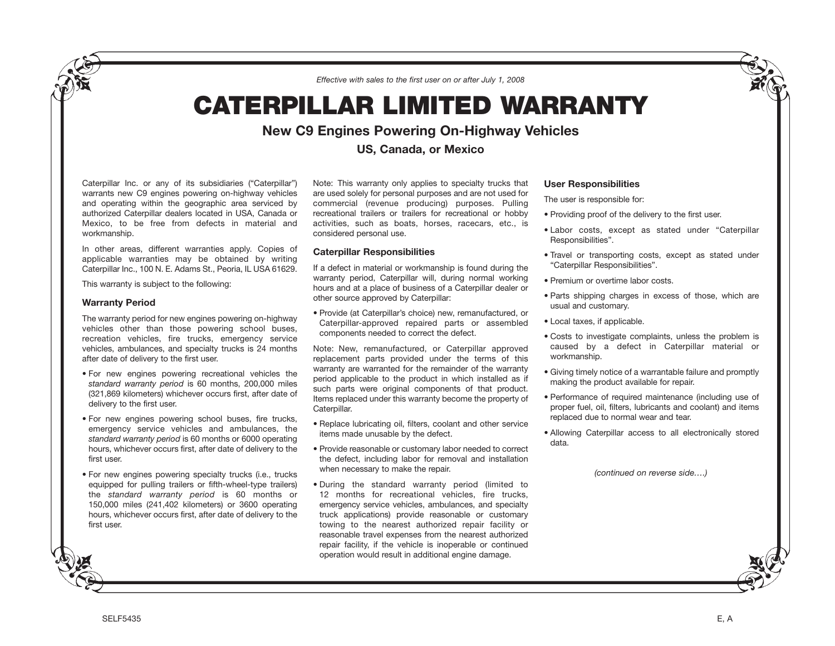*Effective with sales to the first user on or after July 1, 2008*

# **CATERPILLAR LIMITED WARRANTY**

## **New C9 Engines Powering On-Highway Vehicles**

**US, Canada, or Mexico**

Caterpillar Inc. or any of its subsidiaries ("Caterpillar") warrants new C9 engines powering on-highway vehicles and operating within the geographic area serviced by authorized Caterpillar dealers located in USA, Canada or Mexico, to be free from defects in material and workmanship.

In other areas, different warranties apply. Copies of applicable warranties may be obtained by writing Caterpillar Inc., 100 N. E. Adams St., Peoria, IL USA 61629.

This warranty is subject to the following:

#### **Warranty Period**

The warranty period for new engines powering on-highway vehicles other than those powering school buses, recreation vehicles, fire trucks, emergency service vehicles, ambulances, and specialty trucks is 24 months after date of delivery to the first user.

- For new engines powering recreational vehicles the *standard warranty period* is 60 months, 200,000 miles (321,869 kilometers) whichever occurs first, after date of delivery to the first user.
- For new engines powering school buses, fire trucks, emergency service vehicles and ambulances, the *standard warranty period* is 60 months or 6000 operating hours, whichever occurs first, after date of delivery to the first user.
- For new engines powering specialty trucks (i.e., trucks equipped for pulling trailers or fifth-wheel-type trailers) the *standard warranty period* is 60 months or 150,000 miles (241,402 kilometers) or 3600 operating hours, whichever occurs first, after date of delivery to the first user.

Note: This warranty only applies to specialty trucks that are used solely for personal purposes and are not used for commercial (revenue producing) purposes. Pulling recreational trailers or trailers for recreational or hobby activities, such as boats, horses, racecars, etc., is considered personal use.

### **Caterpillar Responsibilities**

If a defect in material or workmanship is found during the warranty period, Caterpillar will, during normal working hours and at a place of business of a Caterpillar dealer or other source approved by Caterpillar:

• Provide (at Caterpillar's choice) new, remanufactured, or Caterpillar-approved repaired parts or assembled components needed to correct the defect.

Note: New, remanufactured, or Caterpillar approved replacement parts provided under the terms of this warranty are warranted for the remainder of the warranty period applicable to the product in which installed as if such parts were original components of that product. Items replaced under this warranty become the property of Caterpillar.

- Replace lubricating oil, filters, coolant and other service items made unusable by the defect.
- Provide reasonable or customary labor needed to correct the defect, including labor for removal and installation when necessary to make the repair.
- During the standard warranty period (limited to 12 months for recreational vehicles, fire trucks, emergency service vehicles, ambulances, and specialty truck applications) provide reasonable or customary towing to the nearest authorized repair facility or reasonable travel expenses from the nearest authorized repair facility, if the vehicle is inoperable or continued operation would result in additional engine damage.

#### **User Responsibilities**

The user is responsible for:

- Providing proof of the delivery to the first user.
- Labor costs, except as stated under "Caterpillar Responsibilities".
- Travel or transporting costs, except as stated under "Caterpillar Responsibilities".
- Premium or overtime labor costs.
- Parts shipping charges in excess of those, which are usual and customary.
- Local taxes, if applicable.
- Costs to investigate complaints, unless the problem is caused by a defect in Caterpillar material or workmanship.
- Giving timely notice of a warrantable failure and promptly making the product available for repair.
- Performance of required maintenance (including use of proper fuel, oil, filters, lubricants and coolant) and items replaced due to normal wear and tear.
- Allowing Caterpillar access to all electronically stored data.

*(continued on reverse side….)*